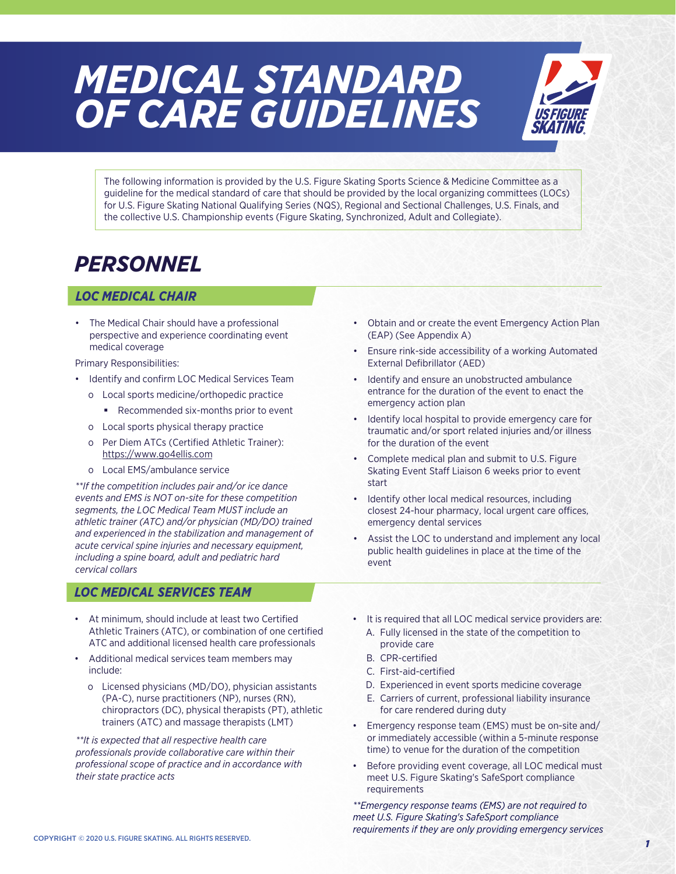# *MEDICAL STANDARD OF CARE GUIDELINES*



The following information is provided by the U.S. Figure Skating Sports Science & Medicine Committee as a guideline for the medical standard of care that should be provided by the local organizing committees (LOCs) for U.S. Figure Skating National Qualifying Series (NQS), Regional and Sectional Challenges, U.S. Finals, and the collective U.S. Championship events (Figure Skating, Synchronized, Adult and Collegiate).

# *PERSONNEL*

### *LOC MEDICAL CHAIR*

- The Medical Chair should have a professional perspective and experience coordinating event medical coverage
- Primary Responsibilities:
- Identify and confirm LOC Medical Services Team
	- o Local sports medicine/orthopedic practice
		- Recommended six-months prior to event
	- o Local sports physical therapy practice
	- o Per Diem ATCs [\(Certified Athletic Trainer\)](https://www.go4ellis.com): https://www.go4ellis.com
	- o Local EMS/ambulance service

*\*\*If the competition includes pair and/or ice dance events and EMS is NOT on-site for these competition segments, the LOC Medical Team MUST include an athletic trainer (ATC) and/or physician (MD/DO) trained and experienced in the stabilization and management of acute cervical spine injuries and necessary equipment, including a spine board, adult and pediatric hard cervical collars*

### *LOC MEDICAL SERVICES TEAM*

- At minimum, should include at least two Certified Athletic Trainers (ATC), or combination of one certified ATC and additional licensed health care professionals
- Additional medical services team members may include:
	- o Licensed physicians (MD/DO), physician assistants (PA-C), nurse practitioners (NP), nurses (RN), chiropractors (DC), physical therapists (PT), athletic trainers (ATC) and massage therapists (LMT)

*\*\*It is expected that all respective health care professionals provide collaborative care within their professional scope of practice and in accordance with their state practice acts*

- Obtain and or create the event Emergency Action Plan (EAP) (See Appendix A)
- Ensure rink-side accessibility of a working Automated External Defibrillator (AED)
- Identify and ensure an unobstructed ambulance entrance for the duration of the event to enact the emergency action plan
- Identify local hospital to provide emergency care for traumatic and/or sport related injuries and/or illness for the duration of the event
- Complete medical plan and submit to U.S. Figure Skating Event Staff Liaison 6 weeks prior to event start
- Identify other local medical resources, including closest 24-hour pharmacy, local urgent care offices, emergency dental services
- Assist the LOC to understand and implement any local public health guidelines in place at the time of the event
- It is required that all LOC medical service providers are:
	- A. Fully licensed in the state of the competition to provide care
	- B. CPR-certified
	- C. First-aid-certified
	- D. Experienced in event sports medicine coverage
	- E. Carriers of current, professional liability insurance for care rendered during duty
- Emergency response team (EMS) must be on-site and/ or immediately accessible (within a 5-minute response time) to venue for the duration of the competition
- Before providing event coverage, all LOC medical must meet U.S. Figure Skating's SafeSport compliance requirements

*\*\*Emergency response teams (EMS) are not required to meet U.S. Figure Skating's SafeSport compliance requirements if they are only providing emergency services*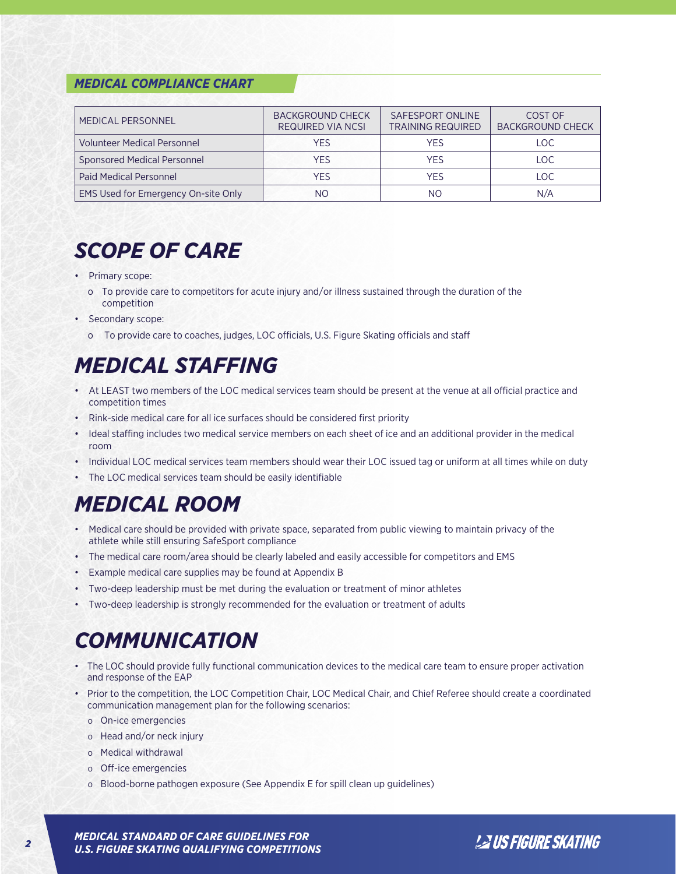#### *MEDICAL COMPLIANCE CHART*

| MEDICAL PERSONNEL                   | <b>BACKGROUND CHECK</b><br><b>REQUIRED VIA NCSI</b> | SAFESPORT ONLINE<br><b>TRAINING REQUIRED</b> | COST OF<br><b>BACKGROUND CHECK</b> |
|-------------------------------------|-----------------------------------------------------|----------------------------------------------|------------------------------------|
| <b>Volunteer Medical Personnel</b>  | YES                                                 | YES                                          | LOC.                               |
| <b>Sponsored Medical Personnel</b>  | YES                                                 | YFS                                          | LOC.                               |
| <b>Paid Medical Personnel</b>       | YES                                                 | YFS                                          | LOC.                               |
| EMS Used for Emergency On-site Only | NΟ                                                  | NΟ                                           | N/A                                |

# *SCOPE OF CARE*

- Primary scope:
	- o To provide care to competitors for acute injury and/or illness sustained through the duration of the competition
- Secondary scope:
	- o To provide care to coaches, judges, LOC officials, U.S. Figure Skating officials and staff

# *MEDICAL STAFFING*

- At LEAST two members of the LOC medical services team should be present at the venue at all official practice and competition times
- Rink-side medical care for all ice surfaces should be considered first priority
- Ideal staffing includes two medical service members on each sheet of ice and an additional provider in the medical room
- Individual LOC medical services team members should wear their LOC issued tag or uniform at all times while on duty
- The LOC medical services team should be easily identifiable

### *MEDICAL ROOM*

- Medical care should be provided with private space, separated from public viewing to maintain privacy of the athlete while still ensuring SafeSport compliance
- The medical care room/area should be clearly labeled and easily accessible for competitors and EMS
- Example medical care supplies may be found at Appendix B
- Two-deep leadership must be met during the evaluation or treatment of minor athletes
- Two-deep leadership is strongly recommended for the evaluation or treatment of adults

### *COMMUNICATION*

- The LOC should provide fully functional communication devices to the medical care team to ensure proper activation and response of the EAP
- Prior to the competition, the LOC Competition Chair, LOC Medical Chair, and Chief Referee should create a coordinated communication management plan for the following scenarios:
	- o On-ice emergencies
	- o Head and/or neck injury
	- o Medical withdrawal
	- o Off-ice emergencies
	- o Blood-borne pathogen exposure (See Appendix E for spill clean up guidelines)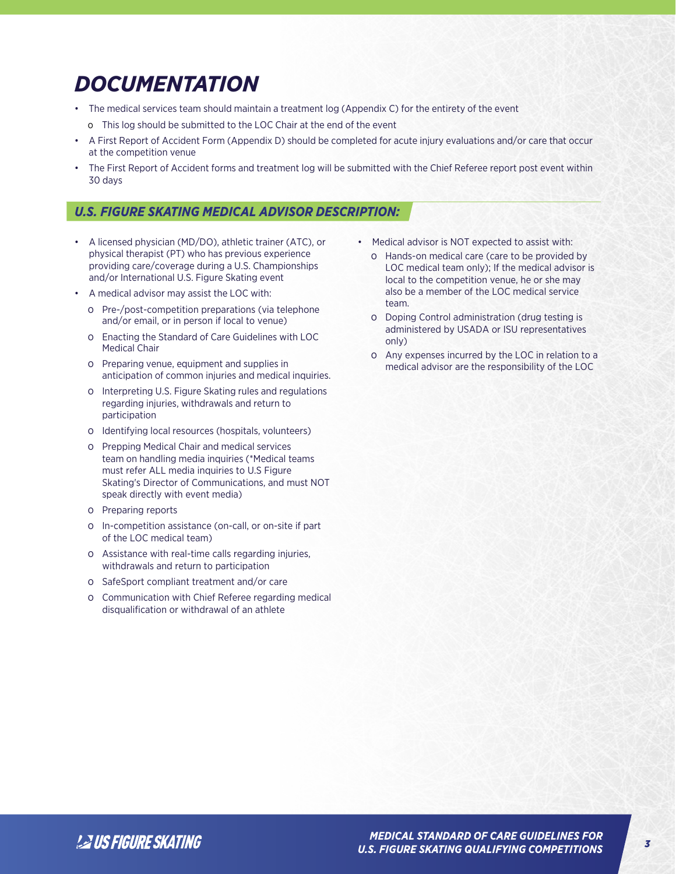# *DOCUMENTATION*

- The medical services team should maintain a treatment log (Appendix C) for the entirety of the event
- o This log should be submitted to the LOC Chair at the end of the event
- A First Report of Accident Form (Appendix D) should be completed for acute injury evaluations and/or care that occur at the competition venue
- The First Report of Accident forms and treatment log will be submitted with the Chief Referee report post event within 30 days

### *U.S. FIGURE SKATING MEDICAL ADVISOR DESCRIPTION:*

- A licensed physician (MD/DO), athletic trainer (ATC), or physical therapist (PT) who has previous experience providing care/coverage during a U.S. Championships and/or International U.S. Figure Skating event
- A medical advisor may assist the LOC with:
	- o Pre-/post-competition preparations (via telephone and/or email, or in person if local to venue)
	- o Enacting the Standard of Care Guidelines with LOC Medical Chair
	- o Preparing venue, equipment and supplies in anticipation of common injuries and medical inquiries.
	- o Interpreting U.S. Figure Skating rules and regulations regarding injuries, withdrawals and return to participation
	- o Identifying local resources (hospitals, volunteers)
	- o Prepping Medical Chair and medical services team on handling media inquiries (\*Medical teams must refer ALL media inquiries to U.S Figure Skating's Director of Communications, and must NOT speak directly with event media)
	- o Preparing reports
	- o In-competition assistance (on-call, or on-site if part of the LOC medical team)
	- o Assistance with real-time calls regarding injuries, withdrawals and return to participation
	- o SafeSport compliant treatment and/or care
	- o Communication with Chief Referee regarding medical disqualification or withdrawal of an athlete
- Medical advisor is NOT expected to assist with:
	- o Hands-on medical care (care to be provided by LOC medical team only); If the medical advisor is local to the competition venue, he or she may also be a member of the LOC medical service team.
	- o Doping Control administration (drug testing is administered by USADA or ISU representatives only)
	- o Any expenses incurred by the LOC in relation to a medical advisor are the responsibility of the LOC